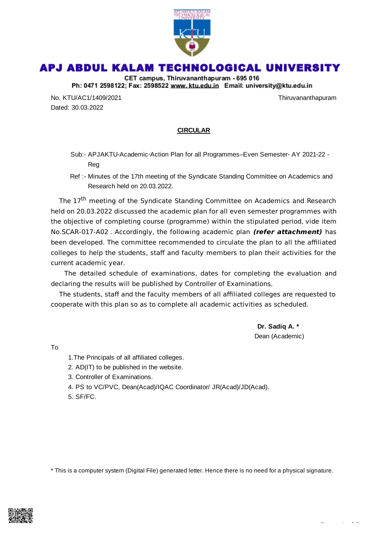

## APJ ABDUL KALAM TECHNOLOGICAL UNIVERSITY

CET campus, Thiruvananthapuram - 695 016 Ph: 0471 2598122; Fax: 2598522 www.ktu.edu.in Email: university@ktu.edu.in

No. KTU/AC1/1409/2021 No. KTU/AC1/1409/2021 Dated: 30.03.2022

## **CIRCULAR**

- Sub:- APJAKTU-Academic-Action Plan for all Programmes–Even Semester- AY 2021-22 Reg
- Ref :- Minutes of the 17th meeting of the Syndicate Standing Committee on Academics and Research held on 20.03.2022.

The 17<sup>th</sup> meeting of the Syndicate Standing Committee on Academics and Research held on 20.03.2022 discussed the academic plan for all even semester programmes with the objective of completing course (programme) within the stipulated period, vide item No.SCAR-017-A02 . Accordingly, the following academic plan **(refer attachment)** has been developed. The committee recommended to circulate the plan to all the affiliated colleges to help the students, staff and faculty members to plan their activities for the current academic year.

The detailed schedule of examinations, dates for completing the evaluation and declaring the results will be published by Controller of Examinations.

The students, staff and the faculty members of all affiliated colleges are requested to cooperate with this plan so as to complete all academic activities as scheduled.

> **Dr. Sadiq A. \*** Dean (Academic)

To

- 1.The Principals of all affiliated colleges.
- 2. AD(IT) to be published in the website.
- 3. Controller of Examinations.
- 4. PS to VC/PVC, Dean(Acad)/IQAC Coordinator/ JR(Acad)/JD(Acad).
- 5. SF/FC.

\* This is a computer system (Digital File) generated letter. Hence there is no need for a physical signature.

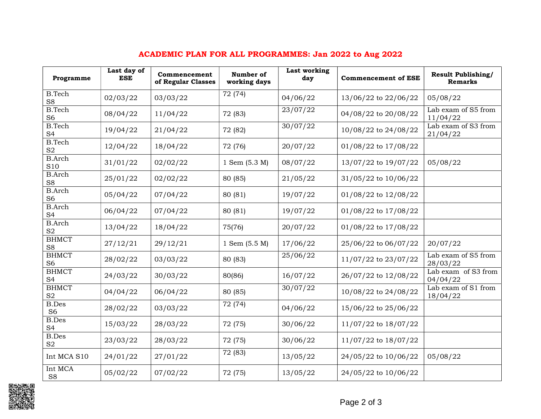| Programme                       | Last day of<br><b>ESE</b> | Commencement<br>of Regular Classes | Number of<br>working days | Last working<br>day | <b>Commencement of ESE</b> | <b>Result Publishing/</b><br><b>Remarks</b> |
|---------------------------------|---------------------------|------------------------------------|---------------------------|---------------------|----------------------------|---------------------------------------------|
| <b>B.Tech</b><br>S <sub>8</sub> | 02/03/22                  | 03/03/22                           | 72 (74)                   | 04/06/22            | 13/06/22 to 22/06/22       | 05/08/22                                    |
| <b>B.Tech</b><br>S <sub>6</sub> | 08/04/22                  | 11/04/22                           | 72 (83)                   | 23/07/22            | 04/08/22 to 20/08/22       | Lab exam of S5 from<br>11/04/22             |
| <b>B.Tech</b><br>S <sub>4</sub> | 19/04/22                  | 21/04/22                           | 72 (82)                   | 30/07/22            | 10/08/22 to 24/08/22       | Lab exam of S3 from<br>21/04/22             |
| <b>B.Tech</b><br>$\mathbf{S2}$  | 12/04/22                  | 18/04/22                           | 72 (76)                   | 20/07/22            | 01/08/22 to 17/08/22       |                                             |
| <b>B.Arch</b><br>S10            | 31/01/22                  | 02/02/22                           | 1 Sem (5.3 M)             | 08/07/22            | 13/07/22 to 19/07/22       | 05/08/22                                    |
| <b>B.Arch</b><br>S <sub>8</sub> | 25/01/22                  | 02/02/22                           | 80 (85)                   | 21/05/22            | 31/05/22 to 10/06/22       |                                             |
| <b>B.Arch</b><br>S <sub>6</sub> | 05/04/22                  | 07/04/22                           | 80 (81)                   | 19/07/22            | 01/08/22 to 12/08/22       |                                             |
| <b>B.Arch</b><br>S <sub>4</sub> | 06/04/22                  | 07/04/22                           | 80 (81)                   | 19/07/22            | 01/08/22 to 17/08/22       |                                             |
| <b>B.Arch</b><br>S <sub>2</sub> | 13/04/22                  | 18/04/22                           | 75(76)                    | 20/07/22            | 01/08/22 to 17/08/22       |                                             |
| <b>BHMCT</b><br>S <sub>8</sub>  | 27/12/21                  | 29/12/21                           | $1$ Sem $(5.5 M)$         | 17/06/22            | 25/06/22 to 06/07/22       | 20/07/22                                    |
| <b>BHMCT</b><br>S <sub>6</sub>  | 28/02/22                  | 03/03/22                           | 80 (83)                   | 25/06/22            | 11/07/22 to 23/07/22       | Lab exam of S5 from<br>28/03/22             |
| <b>BHMCT</b><br>S <sub>4</sub>  | 24/03/22                  | 30/03/22                           | 80(86)                    | 16/07/22            | 26/07/22 to 12/08/22       | Lab exam of S3 from<br>04/04/22             |
| <b>BHMCT</b><br>S <sub>2</sub>  | 04/04/22                  | 06/04/22                           | 80 (85)                   | 30/07/22            | 10/08/22 to 24/08/22       | Lab exam of S1 from<br>18/04/22             |
| <b>B.Des</b><br>S <sub>6</sub>  | 28/02/22                  | 03/03/22                           | 72 (74)                   | 04/06/22            | 15/06/22 to 25/06/22       |                                             |
| <b>B.Des</b><br>S <sub>4</sub>  | 15/03/22                  | 28/03/22                           | 72 (75)                   | 30/06/22            | 11/07/22 to 18/07/22       |                                             |
| <b>B.Des</b><br>S <sub>2</sub>  | 23/03/22                  | 28/03/22                           | 72 (75)                   | 30/06/22            | 11/07/22 to 18/07/22       |                                             |
| Int MCA S10                     | 24/01/22                  | 27/01/22                           | 72 (83)                   | 13/05/22            | 24/05/22 to 10/06/22       | 05/08/22                                    |
| Int MCA<br>S <sub>8</sub>       | 05/02/22                  | 07/02/22                           | 72 (75)                   | 13/05/22            | 24/05/22 to 10/06/22       |                                             |

## ACADEMIC PLAN FOR ALL PROGRAMMES: Jan 2022 to Aug 2022